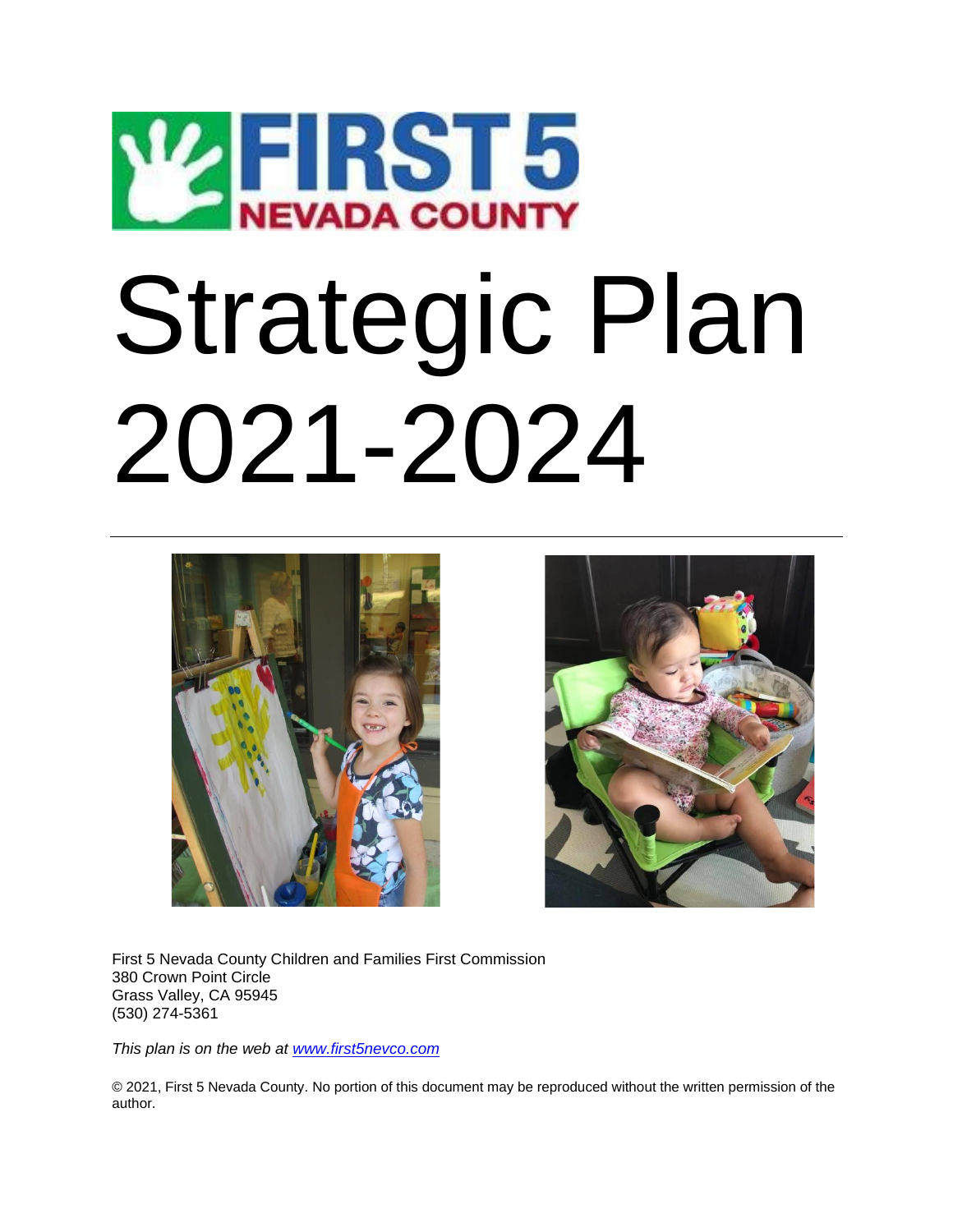

# Strategic Plan 2021-2024





First 5 Nevada County Children and Families First Commission 380 Crown Point Circle Grass Valley, CA 95945 (530) 274-5361

*This plan is on the web at [www.first5nevco.com](http://www.first5nevco.com/)*

© 2021, First 5 Nevada County. No portion of this document may be reproduced without the written permission of the author.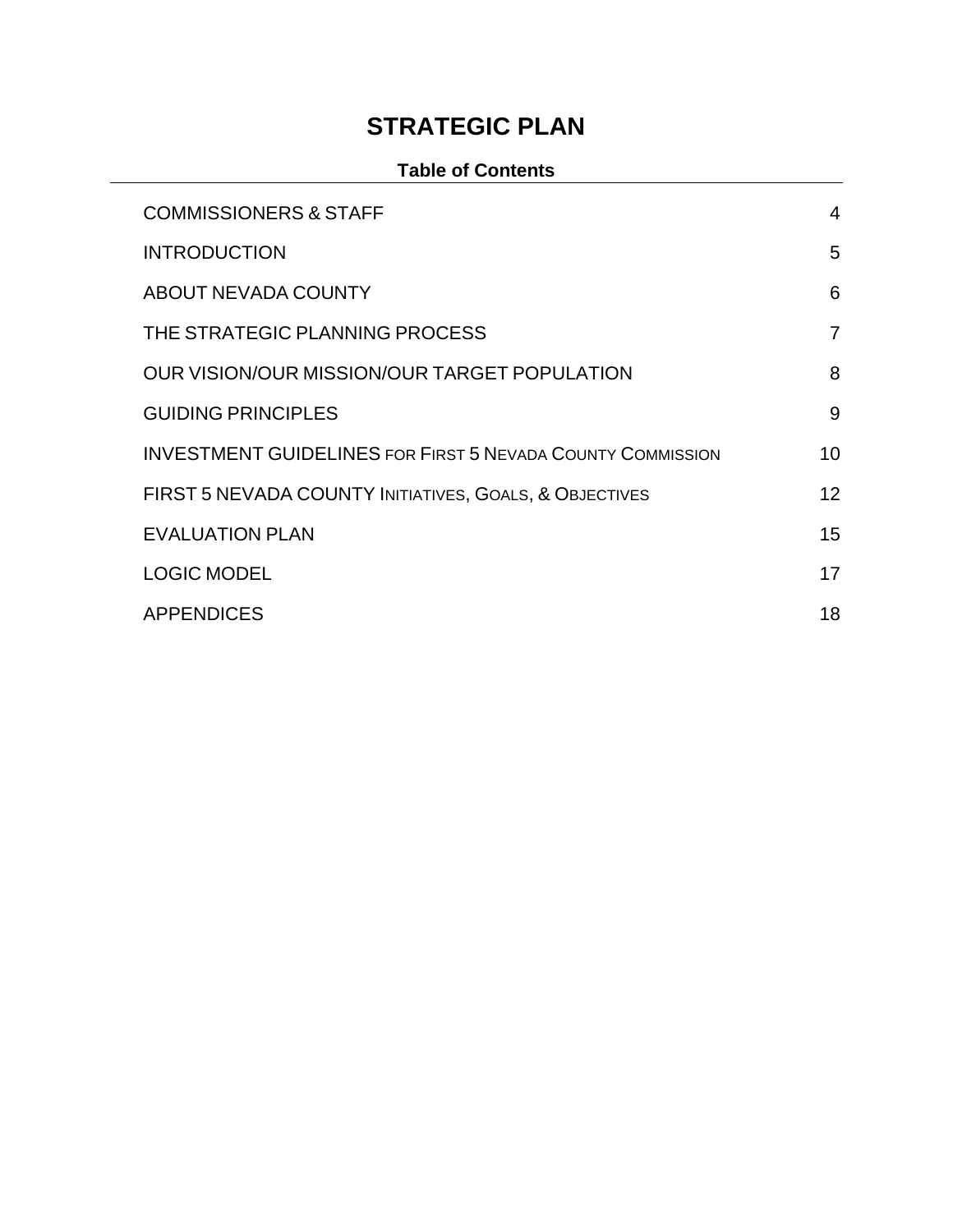# **STRATEGIC PLAN**

### **Table of Contents**

<span id="page-1-0"></span>

| <b>COMMISSIONERS &amp; STAFF</b>                                  | 4              |
|-------------------------------------------------------------------|----------------|
| <b>INTRODUCTION</b>                                               | 5              |
| ABOUT NEVADA COUNTY                                               | 6              |
| THE STRATEGIC PLANNING PROCESS                                    | $\overline{7}$ |
| OUR VISION/OUR MISSION/OUR TARGET POPULATION                      | 8              |
| <b>GUIDING PRINCIPLES</b>                                         | 9              |
| <b>INVESTMENT GUIDELINES FOR FIRST 5 NEVADA COUNTY COMMISSION</b> | 10             |
| FIRST 5 NEVADA COUNTY INITIATIVES, GOALS, & OBJECTIVES            | 12             |
| <b>EVALUATION PLAN</b>                                            | 15             |
| <b>LOGIC MODEL</b>                                                | 17             |
| <b>APPENDICES</b>                                                 | 18             |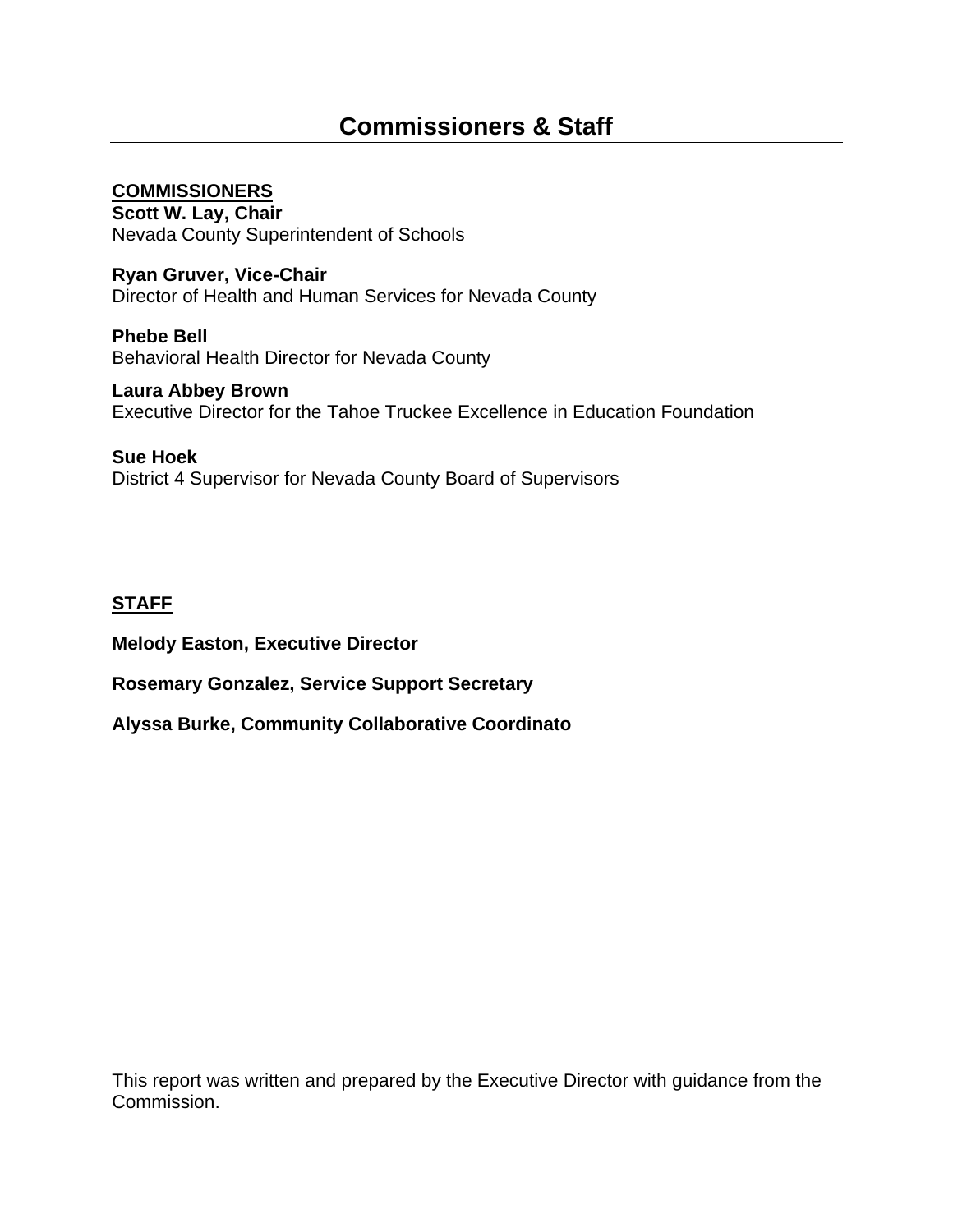### **COMMISSIONERS**

**Scott W. Lay, Chair** Nevada County Superintendent of Schools

**Ryan Gruver, Vice-Chair**  Director of Health and Human Services for Nevada County

**Phebe Bell** Behavioral Health Director for Nevada County

**Laura Abbey Brown** Executive Director for the Tahoe Truckee Excellence in Education Foundation

**Sue Hoek** District 4 Supervisor for Nevada County Board of Supervisors

### **STAFF**

**Melody Easton, Executive Director**

**Rosemary Gonzalez, Service Support Secretary**

**Alyssa Burke, Community Collaborative Coordinato**

This report was written and prepared by the Executive Director with guidance from the Commission.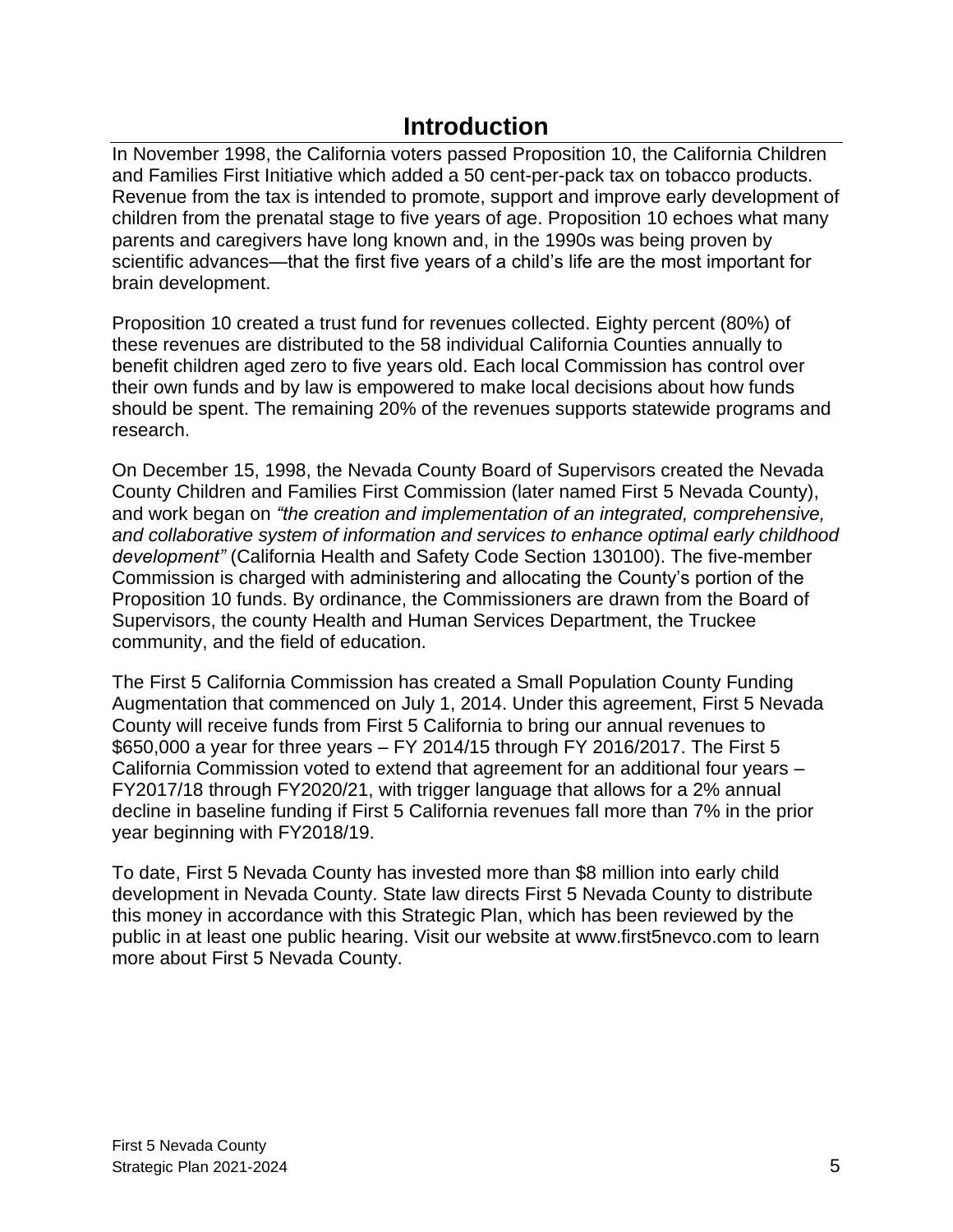## **Introduction**

<span id="page-4-0"></span>In November 1998, the California voters passed Proposition 10, the California Children and Families First Initiative which added a 50 cent-per-pack tax on tobacco products. Revenue from the tax is intended to promote, support and improve early development of children from the prenatal stage to five years of age. Proposition 10 echoes what many parents and caregivers have long known and, in the 1990s was being proven by scientific advances—that the first five years of a child's life are the most important for brain development.

Proposition 10 created a trust fund for revenues collected. Eighty percent (80%) of these revenues are distributed to the 58 individual California Counties annually to benefit children aged zero to five years old. Each local Commission has control over their own funds and by law is empowered to make local decisions about how funds should be spent. The remaining 20% of the revenues supports statewide programs and research.

On December 15, 1998, the Nevada County Board of Supervisors created the Nevada County Children and Families First Commission (later named First 5 Nevada County), and work began on *"the creation and implementation of an integrated, comprehensive, and collaborative system of information and services to enhance optimal early childhood development"* (California Health and Safety Code Section 130100). The five-member Commission is charged with administering and allocating the County's portion of the Proposition 10 funds. By ordinance, the Commissioners are drawn from the Board of Supervisors, the county Health and Human Services Department, the Truckee community, and the field of education.

The First 5 California Commission has created a Small Population County Funding Augmentation that commenced on July 1, 2014. Under this agreement, First 5 Nevada County will receive funds from First 5 California to bring our annual revenues to \$650,000 a year for three years – FY 2014/15 through FY 2016/2017. The First 5 California Commission voted to extend that agreement for an additional four years – FY2017/18 through FY2020/21, with trigger language that allows for a 2% annual decline in baseline funding if First 5 California revenues fall more than 7% in the prior year beginning with FY2018/19.

To date, First 5 Nevada County has invested more than \$8 million into early child development in Nevada County. State law directs First 5 Nevada County to distribute this money in accordance with this Strategic Plan, which has been reviewed by the public in at least one public hearing. Visit our website at www.first5nevco.com to learn more about First 5 Nevada County.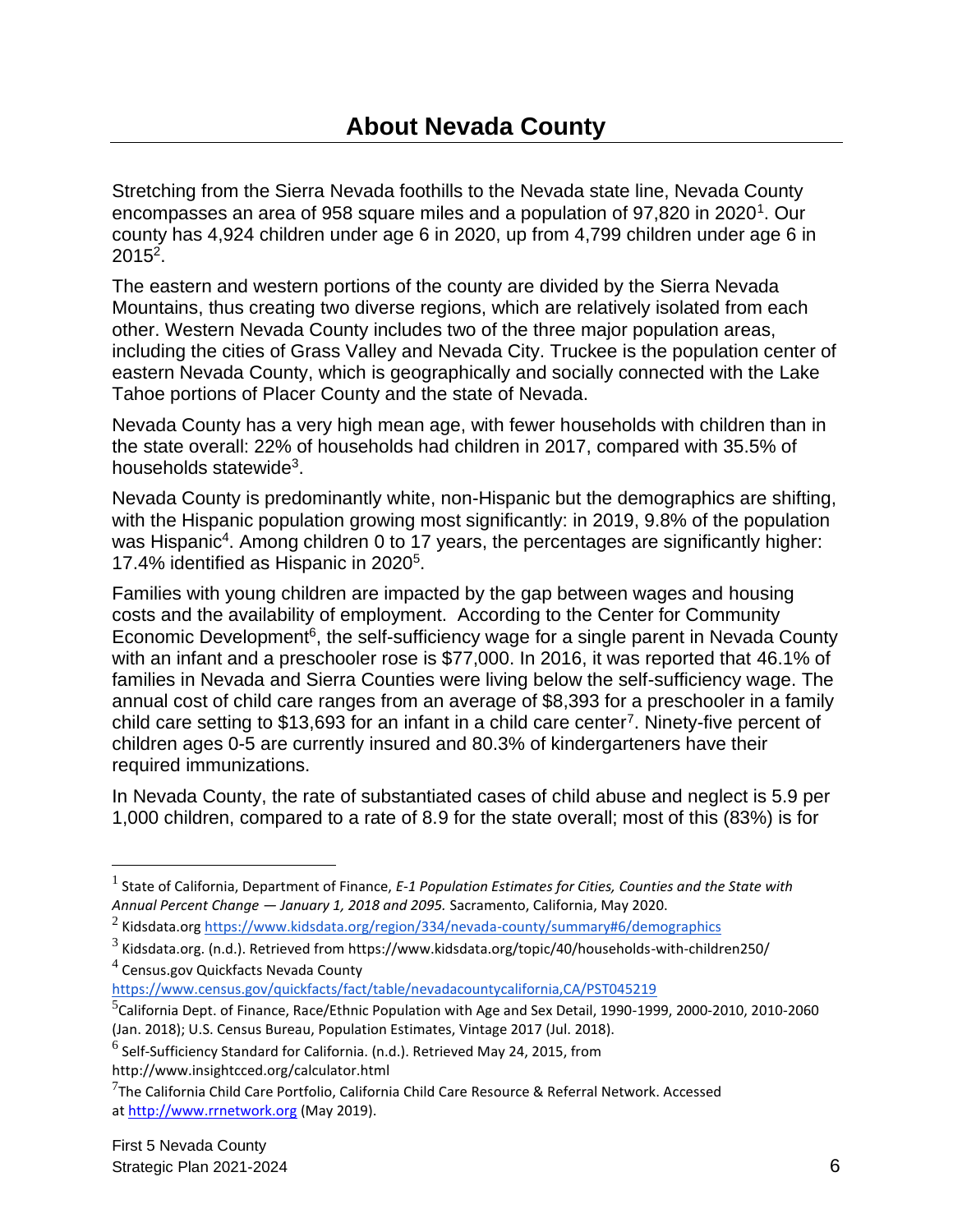<span id="page-5-0"></span>Stretching from the Sierra Nevada foothills to the Nevada state line, Nevada County encompasses an area of 958 square miles and a population of 97,820 in 2020<sup>1</sup>. Our county has 4,924 children under age 6 in 2020, up from 4,799 children under age 6 in  $2015^2$ .

The eastern and western portions of the county are divided by the Sierra Nevada Mountains, thus creating two diverse regions, which are relatively isolated from each other. Western Nevada County includes two of the three major population areas, including the cities of Grass Valley and Nevada City. Truckee is the population center of eastern Nevada County, which is geographically and socially connected with the Lake Tahoe portions of Placer County and the state of Nevada.

Nevada County has a very high mean age, with fewer households with children than in the state overall: 22% of households had children in 2017, compared with 35.5% of households statewide $3$ .

Nevada County is predominantly white, non-Hispanic but the demographics are shifting, with the Hispanic population growing most significantly: in 2019, 9.8% of the population was Hispanic<sup>4</sup>. Among children 0 to 17 years, the percentages are significantly higher: 17.4% identified as Hispanic in 2020<sup>5</sup> .

Families with young children are impacted by the gap between wages and housing costs and the availability of employment. According to the Center for Community Economic Development<sup>6</sup>, the self-sufficiency wage for a single parent in Nevada County with an infant and a preschooler rose is \$77,000. In 2016, it was reported that 46.1% of families in Nevada and Sierra Counties were living below the self-sufficiency wage. The annual cost of child care ranges from an average of \$8,393 for a preschooler in a family child care setting to \$13,693 for an infant in a child care center<sup>7</sup>. Ninety-five percent of children ages 0-5 are currently insured and 80.3% of kindergarteners have their required immunizations.

In Nevada County, the rate of substantiated cases of child abuse and neglect is 5.9 per 1,000 children, compared to a rate of 8.9 for the state overall; most of this (83%) is for

<sup>&</sup>lt;sup>1</sup> State of California, Department of Finance, *E-1 Population Estimates for Cities, Counties and the State with Annual Percent Change — January 1, 2018 and 2095.* Sacramento, California, May 2020.

<sup>&</sup>lt;sup>2</sup> Kidsdata.org <u>https://www.kidsdata.org/region/334/nevada-county/summary#6/demographics</u>

 $^3$  Kidsdata.org. (n.d.). Retrieved from https://www.kidsdata.org/topic/40/households-with-children250/

 $^4$  Census.gov Quickfacts Nevada County <https://www.census.gov/quickfacts/fact/table/nevadacountycalifornia,CA/PST045219>

<sup>5</sup> California Dept. of Finance, Race/Ethnic Population with Age and Sex Detail, 1990-1999, 2000-2010, 2010-2060 (Jan. 2018); U.S. Census Bureau, Population Estimates, Vintage 2017 (Jul. 2018).

 $^6$  Self-Sufficiency Standard for California. (n.d.). Retrieved May 24, 2015, from http://www.insightcced.org/calculator.html

 $^{7}$ The California Child Care Portfolio, California Child Care Resource & Referral Network. Accessed at [http://www.rrnetwork.org](http://www.rrnetwork.org/) (May 2019).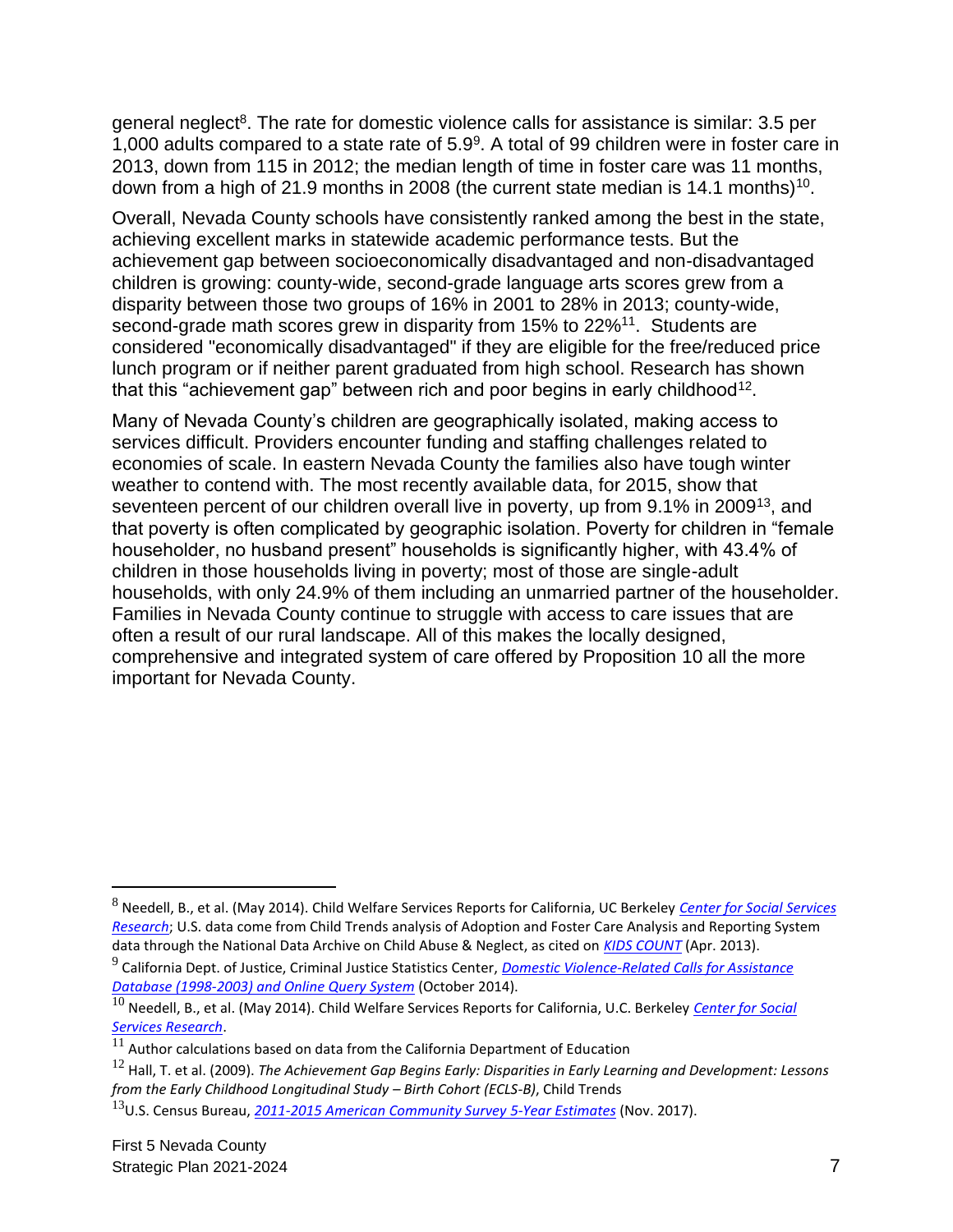general neglect<sup>8</sup>. The rate for domestic violence calls for assistance is similar: 3.5 per 1,000 adults compared to a state rate of  $5.9<sup>9</sup>$ . A total of 99 children were in foster care in 2013, down from 115 in 2012; the median length of time in foster care was 11 months, down from a high of 21.9 months in 2008 (the current state median is 14.1 months)<sup>10</sup>.

Overall, Nevada County schools have consistently ranked among the best in the state, achieving excellent marks in statewide academic performance tests. But the achievement gap between socioeconomically disadvantaged and non-disadvantaged children is growing: county-wide, second-grade language arts scores grew from a disparity between those two groups of 16% in 2001 to 28% in 2013; county-wide, second-grade math scores grew in disparity from 15% to 22%<sup>11</sup>. Students are considered "economically disadvantaged" if they are eligible for the free/reduced price lunch program or if neither parent graduated from high school. Research has shown that this "achievement gap" between rich and poor begins in early childhood<sup>12</sup>.

Many of Nevada County's children are geographically isolated, making access to services difficult. Providers encounter funding and staffing challenges related to economies of scale. In eastern Nevada County the families also have tough winter weather to contend with. The most recently available data, for 2015, show that seventeen percent of our children overall live in poverty, up from 9.1% in 2009<sup>13</sup>, and that poverty is often complicated by geographic isolation. Poverty for children in "female householder, no husband present" households is significantly higher, with 43.4% of children in those households living in poverty; most of those are single-adult households, with only 24.9% of them including an unmarried partner of the householder. Families in Nevada County continue to struggle with access to care issues that are often a result of our rural landscape. All of this makes the locally designed, comprehensive and integrated system of care offered by Proposition 10 all the more important for Nevada County.

<sup>8</sup> Needell, B., et al. (May 2014). Child Welfare Services Reports for California, UC Berkeley *[Center for Social Services](http://cssr.berkeley.edu/ucb_childwelfare)  [Research](http://cssr.berkeley.edu/ucb_childwelfare)*; U.S. data come from Child Trends analysis of Adoption and Foster Care Analysis and Reporting System data through the National Data Archive on Child Abuse & Neglect, as cited on *[KIDS COUNT](http://www.kidscount.org/)* (Apr. 2013).

<sup>9</sup> California Dept. of Justice, Criminal Justice Statistics Center, *[Domestic Violence-Related Calls for Assistance](http://oag.ca.gov/crime/cjsc/stats/domestic-violence)  [Database \(1998-2003\) and Online Query System](http://oag.ca.gov/crime/cjsc/stats/domestic-violence)* (October 2014).

<sup>10</sup> Needell, B., et al. (May 2014). Child Welfare Services Reports for California, U.C. Berkeley *[Center for Social](http://cssr.berkeley.edu/ucb_childwelfare)  [Services Research](http://cssr.berkeley.edu/ucb_childwelfare)*.

 $\overline{11}$  Author calculations based on data from the California Department of Education

<sup>12</sup> Hall, T. et al. (2009). *The Achievement Gap Begins Early: Disparities in Early Learning and Development: Lessons from the Early Childhood Longitudinal Study – Birth Cohort (ECLS-B)*, Child Trends

<sup>13</sup>U.S. Census Bureau, *2011-2015 [American Community Survey](http://factfinder2.census.gov/) 5-Year Estimates* (Nov. 2017).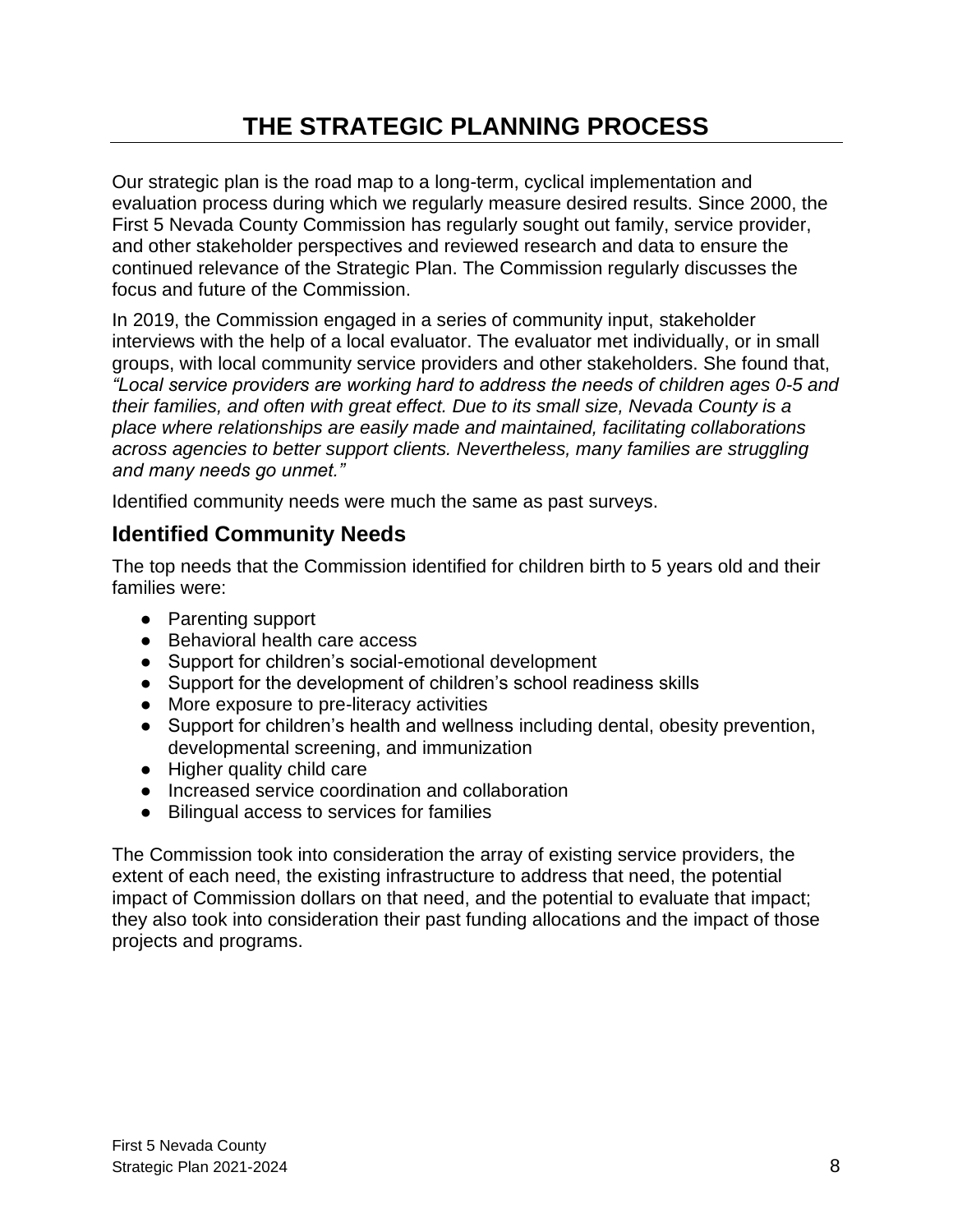# **THE STRATEGIC PLANNING PROCESS**

<span id="page-7-0"></span>Our strategic plan is the road map to a long-term, cyclical implementation and evaluation process during which we regularly measure desired results. Since 2000, the First 5 Nevada County Commission has regularly sought out family, service provider, and other stakeholder perspectives and reviewed research and data to ensure the continued relevance of the Strategic Plan. The Commission regularly discusses the focus and future of the Commission.

In 2019, the Commission engaged in a series of community input, stakeholder interviews with the help of a local evaluator. The evaluator met individually, or in small groups, with local community service providers and other stakeholders. She found that, *"Local service providers are working hard to address the needs of children ages 0-5 and their families, and often with great effect. Due to its small size, Nevada County is a place where relationships are easily made and maintained, facilitating collaborations across agencies to better support clients. Nevertheless, many families are struggling and many needs go unmet."*

Identified community needs were much the same as past surveys.

### **Identified Community Needs**

The top needs that the Commission identified for children birth to 5 years old and their families were:

- Parenting support
- Behavioral health care access
- Support for children's social-emotional development
- Support for the development of children's school readiness skills
- More exposure to pre-literacy activities
- Support for children's health and wellness including dental, obesity prevention, developmental screening, and immunization
- Higher quality child care
- Increased service coordination and collaboration
- Bilingual access to services for families

The Commission took into consideration the array of existing service providers, the extent of each need, the existing infrastructure to address that need, the potential impact of Commission dollars on that need, and the potential to evaluate that impact; they also took into consideration their past funding allocations and the impact of those projects and programs.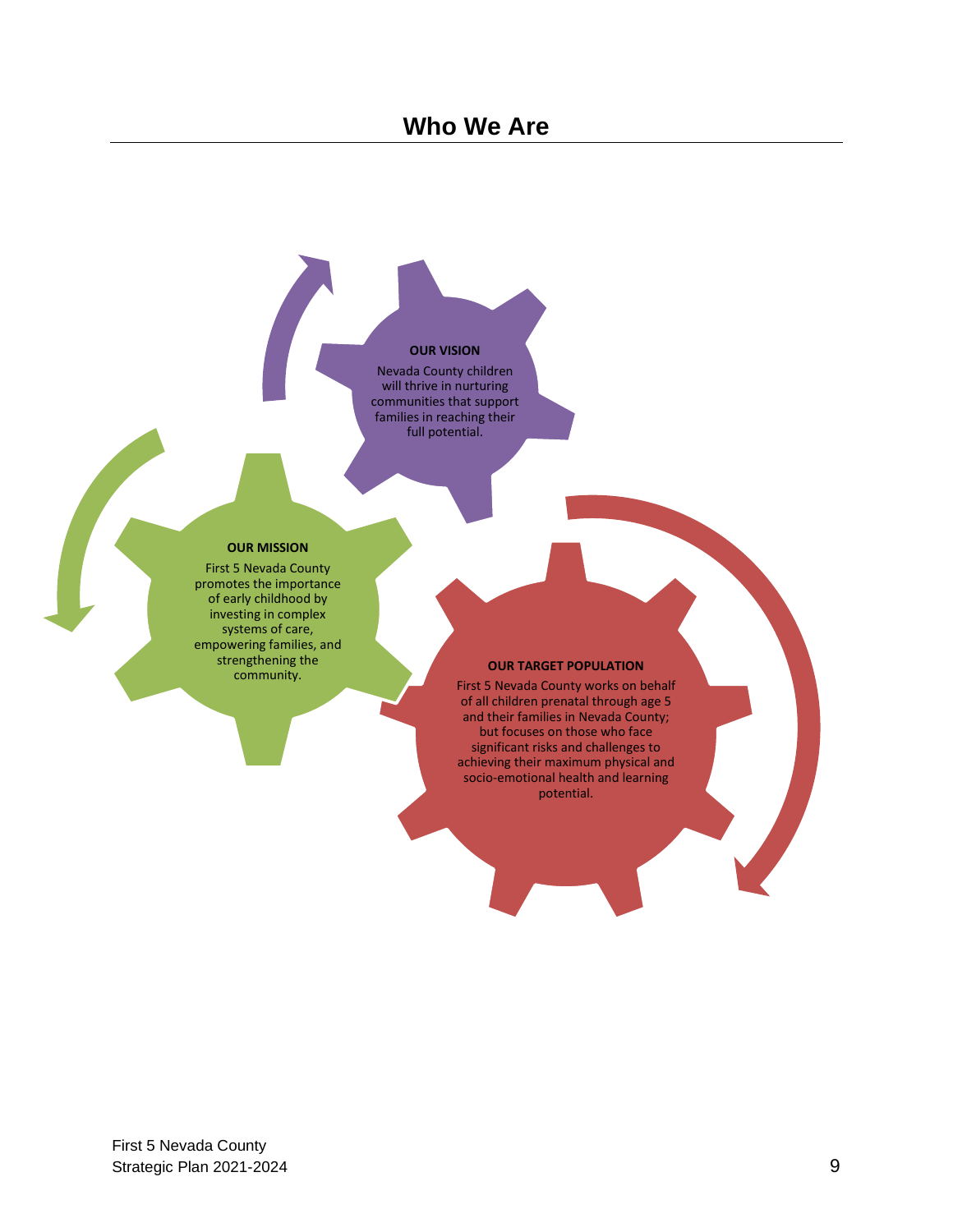### **Who We Are**

#### **OUR VISION**

Nevada County children will thrive in nurturing communities that support families in reaching their full potential.

#### **OUR MISSION**

First 5 Nevada County promotes the importance of early childhood by investing in complex systems of care, empowering families, and strengthening the community.

#### **OUR TARGET POPULATION**

First 5 Nevada County works on behalf of all children prenatal through age 5 and their families in Nevada County; but focuses on those who face significant risks and challenges to achieving their maximum physical and socio-emotional health and learning potential.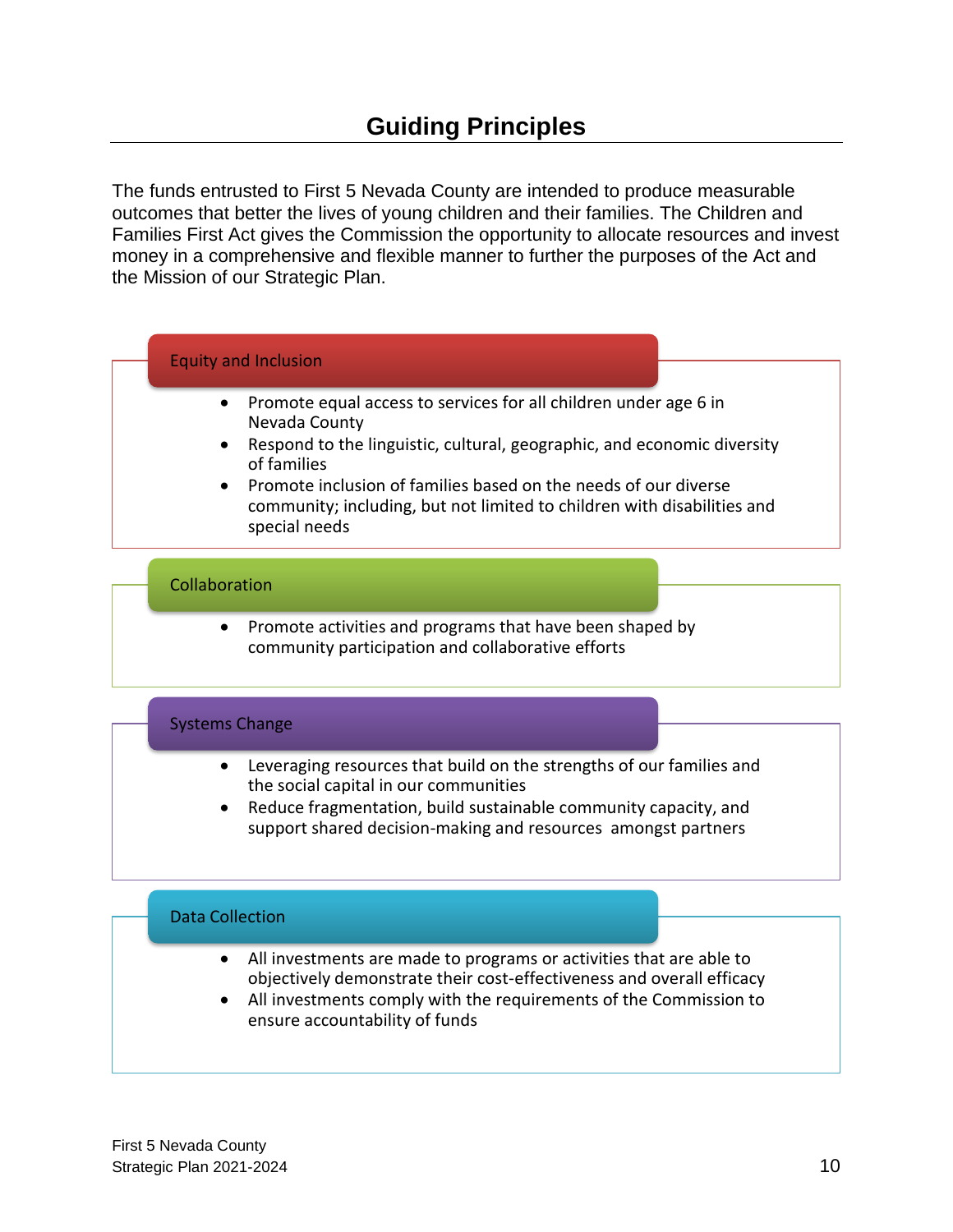<span id="page-9-0"></span>The funds entrusted to First 5 Nevada County are intended to produce measurable outcomes that better the lives of young children and their families. The Children and Families First Act gives the Commission the opportunity to allocate resources and invest money in a comprehensive and flexible manner to further the purposes of the Act and the Mission of our Strategic Plan.

### Equity and Inclusion

- Promote equal access to services for all children under age 6 in Nevada County
- Respond to the linguistic, cultural, geographic, and economic diversity of families
- Promote inclusion of families based on the needs of our diverse community; including, but not limited to children with disabilities and special needs

### Collaboration

• Promote activities and programs that have been shaped by community participation and collaborative efforts

### Systems Change

- Leveraging resources that build on the strengths of our families and the social capital in our communities
- Reduce fragmentation, build sustainable community capacity, and support shared decision-making and resources amongst partners

### Data Collection

- All investments are made to programs or activities that are able to objectively demonstrate their cost-effectiveness and overall efficacy
- All investments comply with the requirements of the Commission to ensure accountability of funds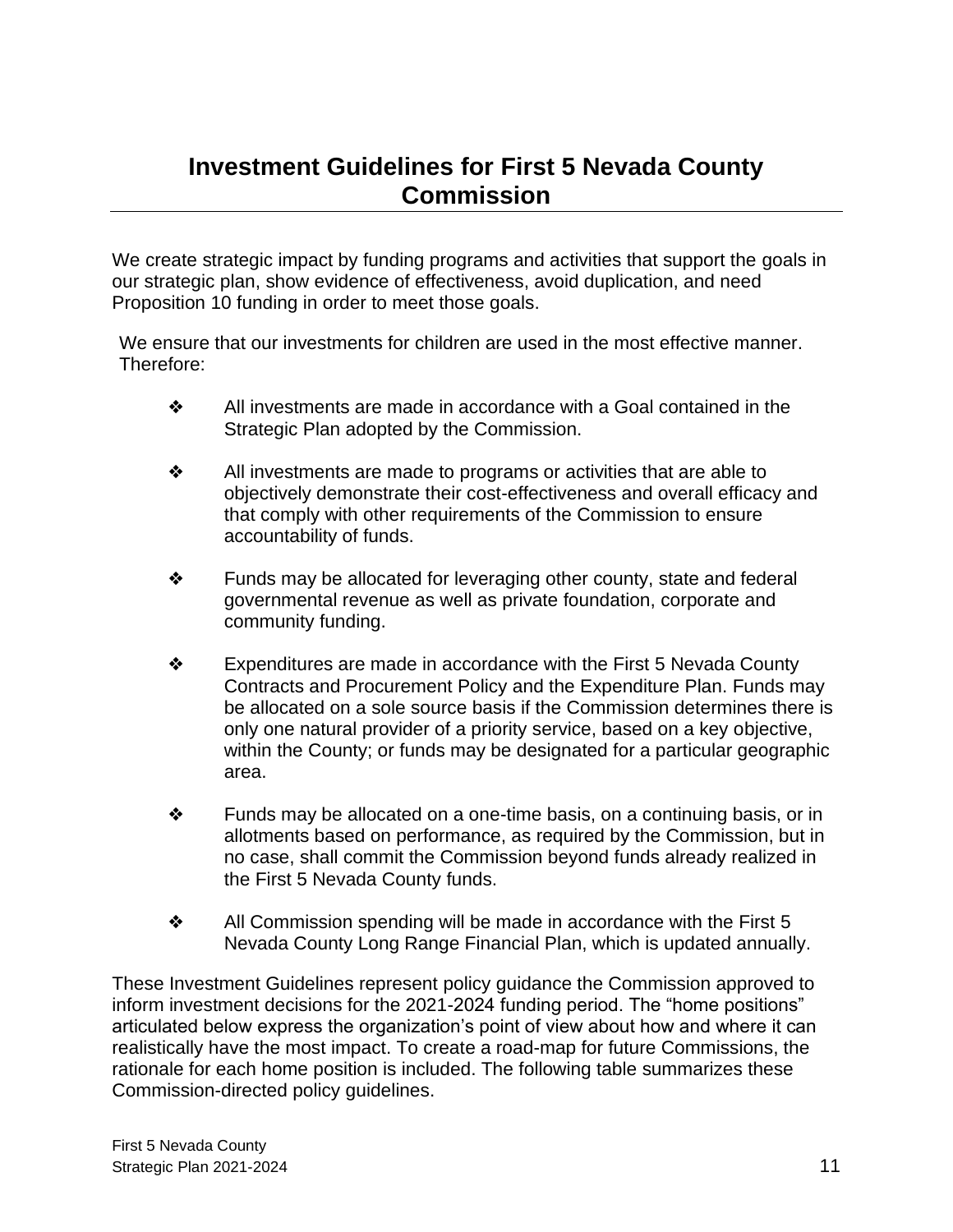# <span id="page-10-0"></span>**Investment Guidelines for First 5 Nevada County Commission**

We create strategic impact by funding programs and activities that support the goals in our strategic plan, show evidence of effectiveness, avoid duplication, and need Proposition 10 funding in order to meet those goals.

We ensure that our investments for children are used in the most effective manner. Therefore:

- ❖ All investments are made in accordance with a Goal contained in the Strategic Plan adopted by the Commission.
- $\triangleleft$  All investments are made to programs or activities that are able to objectively demonstrate their cost-effectiveness and overall efficacy and that comply with other requirements of the Commission to ensure accountability of funds.
- ❖ Funds may be allocated for leveraging other county, state and federal governmental revenue as well as private foundation, corporate and community funding.
- ❖ Expenditures are made in accordance with the First 5 Nevada County Contracts and Procurement Policy and the Expenditure Plan. Funds may be allocated on a sole source basis if the Commission determines there is only one natural provider of a priority service, based on a key objective, within the County; or funds may be designated for a particular geographic area.
- ❖ Funds may be allocated on a one-time basis, on a continuing basis, or in allotments based on performance, as required by the Commission, but in no case, shall commit the Commission beyond funds already realized in the First 5 Nevada County funds.
- $\clubsuit$  All Commission spending will be made in accordance with the First 5 Nevada County Long Range Financial Plan, which is updated annually.

These Investment Guidelines represent policy guidance the Commission approved to inform investment decisions for the 2021-2024 funding period. The "home positions" articulated below express the organization's point of view about how and where it can realistically have the most impact. To create a road-map for future Commissions, the rationale for each home position is included. The following table summarizes these Commission-directed policy guidelines.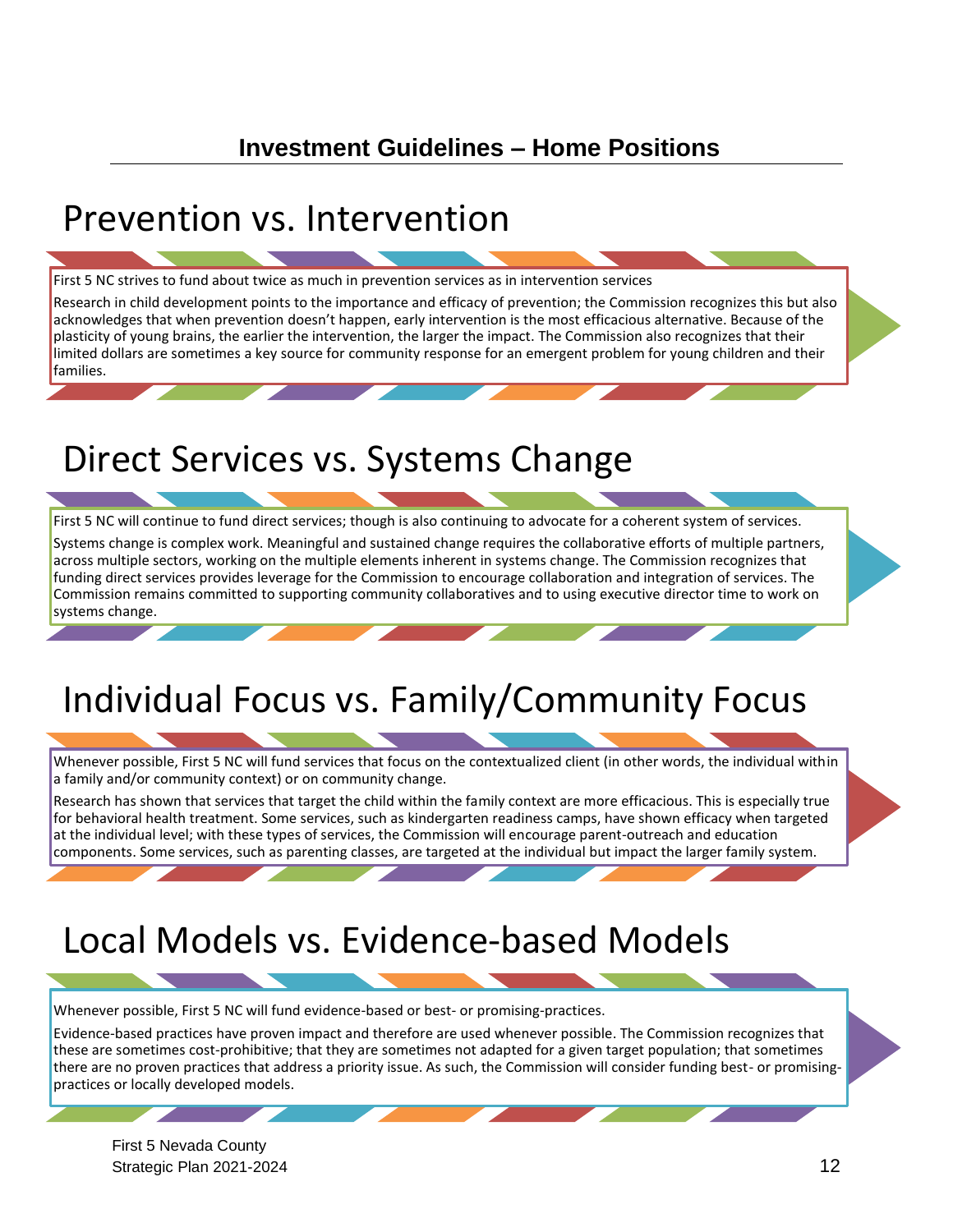# **Investment Guidelines – Home Positions**

# <span id="page-11-0"></span>Prevention vs. Intervention

First 5 NC strives to fund about twice as much in prevention services as in intervention services

Research in child development points to the importance and efficacy of prevention; the Commission recognizes this but also acknowledges that when prevention doesn't happen, early intervention is the most efficacious alternative. Because of the plasticity of young brains, the earlier the intervention, the larger the impact. The Commission also recognizes that their limited dollars are sometimes a key source for community response for an emergent problem for young children and their families.

# Direct Services vs. Systems Change

First 5 NC will continue to fund direct services; though is also continuing to advocate for a coherent system of services.

Systems change is complex work. Meaningful and sustained change requires the collaborative efforts of multiple partners, across multiple sectors, working on the multiple elements inherent in systems change. The Commission recognizes that funding direct services provides leverage for the Commission to encourage collaboration and integration of services. The Commission remains committed to supporting community collaboratives and to using executive director time to work on systems change.

# Individual Focus vs. Family/Community Focus

Whenever possible, First 5 NC will fund services that focus on the contextualized client (in other words, the individual within a family and/or community context) or on community change.

Research has shown that services that target the child within the family context are more efficacious. This is especially true for behavioral health treatment. Some services, such as kindergarten readiness camps, have shown efficacy when targeted at the individual level; with these types of services, the Commission will encourage parent-outreach and education components. Some services, such as parenting classes, are targeted at the individual but impact the larger family system.

# Local Models vs. Evidence-based Models

Whenever possible, First 5 NC will fund evidence-based or best- or promising-practices.

Evidence-based practices have proven impact and therefore are used whenever possible. The Commission recognizes that these are sometimes cost-prohibitive; that they are sometimes not adapted for a given target population; that sometimes there are no proven practices that address a priority issue. As such, the Commission will consider funding best- or promisingpractices or locally developed models.

First 5 Nevada County Strategic Plan 2021-2024 12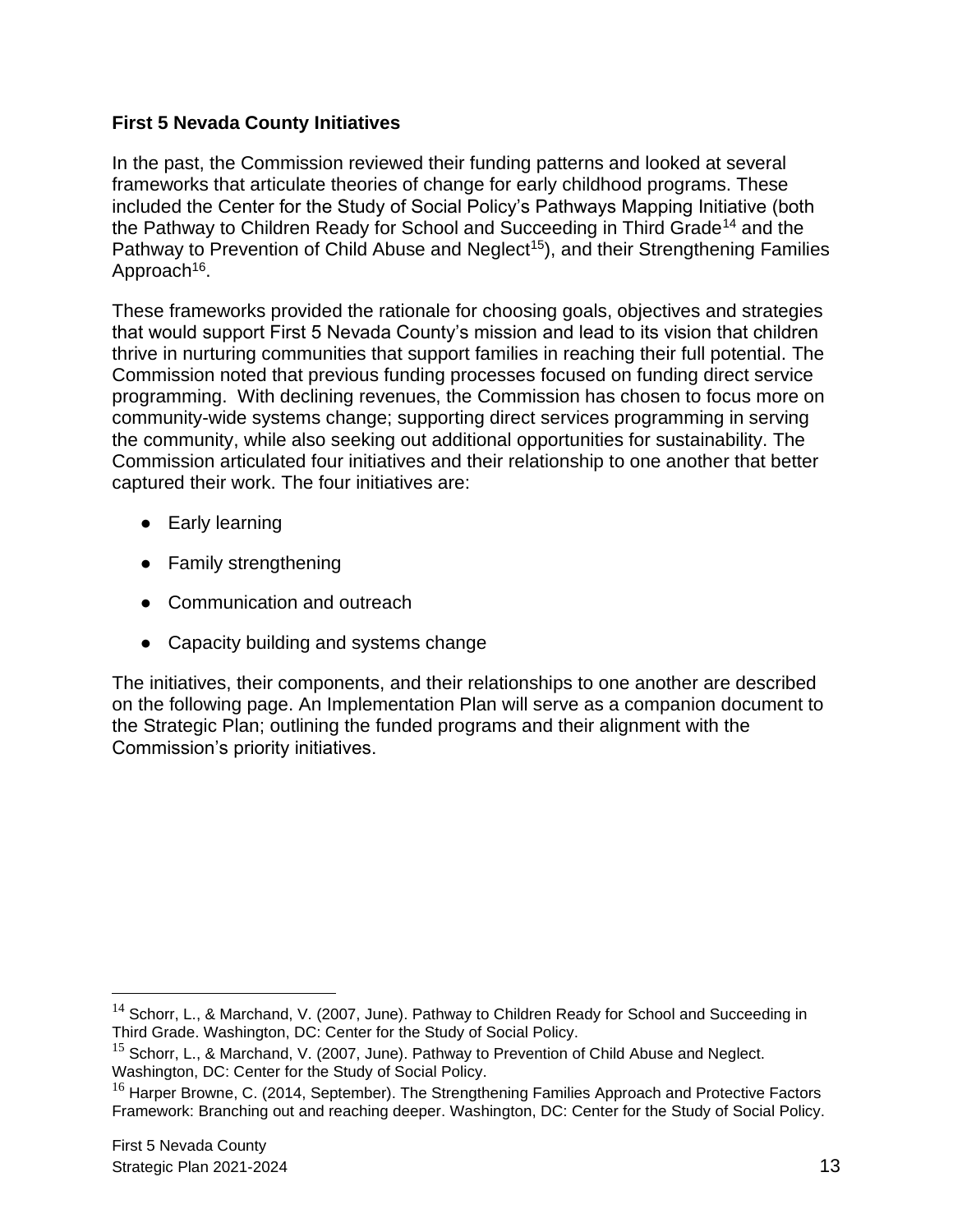### **First 5 Nevada County Initiatives**

In the past, the Commission reviewed their funding patterns and looked at several frameworks that articulate theories of change for early childhood programs. These included the Center for the Study of Social Policy's Pathways Mapping Initiative (both the Pathway to Children Ready for School and Succeeding in Third Grade<sup>14</sup> and the Pathway to Prevention of Child Abuse and Neglect<sup>15</sup>), and their Strengthening Families Approach<sup>16</sup>.

These frameworks provided the rationale for choosing goals, objectives and strategies that would support First 5 Nevada County's mission and lead to its vision that children thrive in nurturing communities that support families in reaching their full potential. The Commission noted that previous funding processes focused on funding direct service programming. With declining revenues, the Commission has chosen to focus more on community-wide systems change; supporting direct services programming in serving the community, while also seeking out additional opportunities for sustainability. The Commission articulated four initiatives and their relationship to one another that better captured their work. The four initiatives are:

- Early learning
- Family strengthening
- Communication and outreach
- Capacity building and systems change

The initiatives, their components, and their relationships to one another are described on the following page. An Implementation Plan will serve as a companion document to the Strategic Plan; outlining the funded programs and their alignment with the Commission's priority initiatives.

<sup>&</sup>lt;sup>14</sup> Schorr, L., & Marchand, V. (2007, June). Pathway to Children Ready for School and Succeeding in Third Grade. Washington, DC: Center for the Study of Social Policy.

 $15$  Schorr, L., & Marchand, V. (2007, June). Pathway to Prevention of Child Abuse and Neglect. Washington, DC: Center for the Study of Social Policy.

 $16$  Harper Browne, C. (2014, September). The Strengthening Families Approach and Protective Factors Framework: Branching out and reaching deeper. Washington, DC: Center for the Study of Social Policy.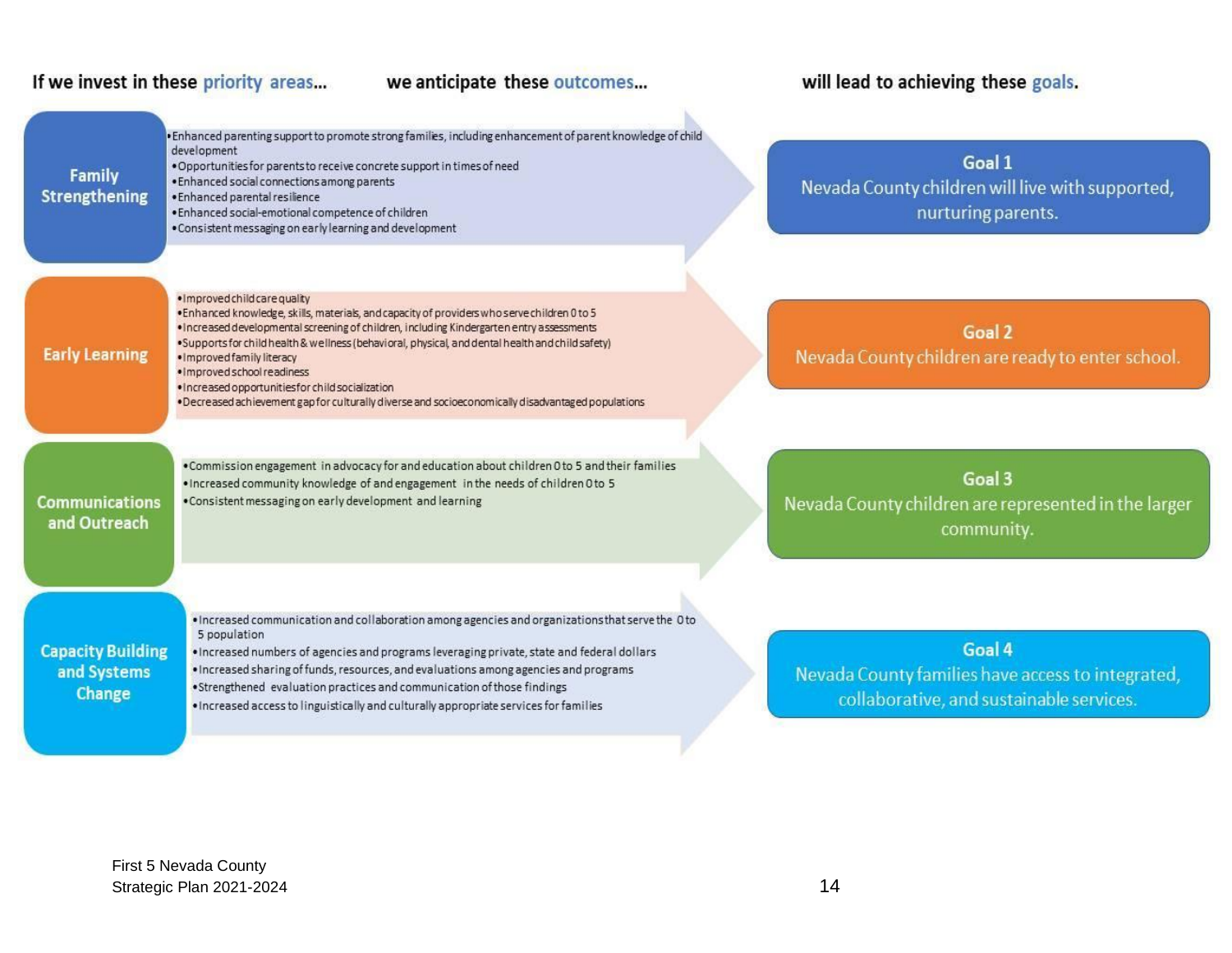### If we invest in these priority areas...

### we anticipate these outcomes...

# will lead to achieving these goals.

| <b>Family</b><br><b>Strengthening</b>             | · Enhanced parenting support to promote strong families, including enhancement of parent knowledge of child<br>development<br>. Opportunities for parents to receive concrete support in times of need<br>. Enhanced social connections among parents<br>· Enhanced parental resilience<br>. Enhanced social-emotional competence of children<br>. Consistent messaging on early learning and development                                                                                                                                              | Goal 1<br>Nevada County children will live with supported,<br>nurturing parents.                        |
|---------------------------------------------------|--------------------------------------------------------------------------------------------------------------------------------------------------------------------------------------------------------------------------------------------------------------------------------------------------------------------------------------------------------------------------------------------------------------------------------------------------------------------------------------------------------------------------------------------------------|---------------------------------------------------------------------------------------------------------|
| <b>Early Learning</b>                             | · Improved child care quality<br>. Enhanced knowledge, skills, materials, and capacity of providers who serve children 0 to 5<br>. Increased developmental screening of children, including Kindergarten entry assessments<br>·Supports for child health & wellness (behavioral, physical, and dental health and child safety)<br>. Improved family literacy<br>· Improved school readiness<br>· Increased opportunities for child socialization<br>. Decreased achievement gap for culturally diverse and socioeconomically disadvantaged populations | Goal 2<br>Nevada County children are ready to enter school.                                             |
| <b>Communications</b><br>and Outreach             | . Commission engagement in advocacy for and education about children 0 to 5 and their families<br>. Increased community knowledge of and engagement in the needs of children 0 to 5<br>. Consistent messaging on early development and learning                                                                                                                                                                                                                                                                                                        | Goal 3<br>Nevada County children are represented in the larger<br>community.                            |
| <b>Capacity Building</b><br>and Systems<br>Change | . Increased communication and collaboration among agencies and organizations that serve the O to<br>5 population<br>. Increased numbers of agencies and programs leveraging private, state and federal dollars<br>. Increased sharing of funds, resources, and evaluations among agencies and programs<br>. Strengthened evaluation practices and communication of those findings<br>. Increased access to linguistically and culturally appropriate services for families                                                                             | Goal 4<br>Nevada County families have access to integrated,<br>collaborative, and sustainable services. |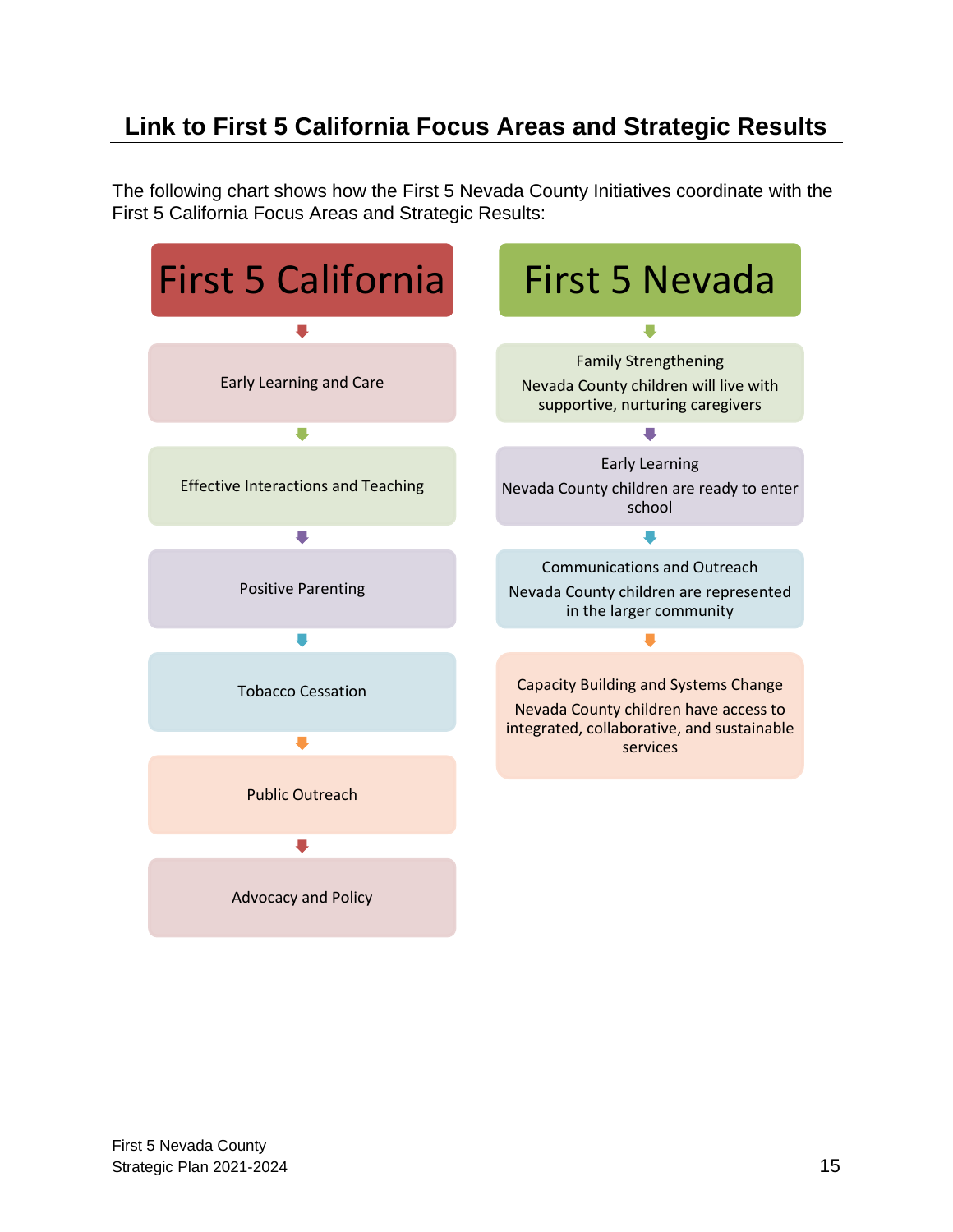# **Link to First 5 California Focus Areas and Strategic Results**

The following chart shows how the First 5 Nevada County Initiatives coordinate with the First 5 California Focus Areas and Strategic Results:

<span id="page-14-0"></span>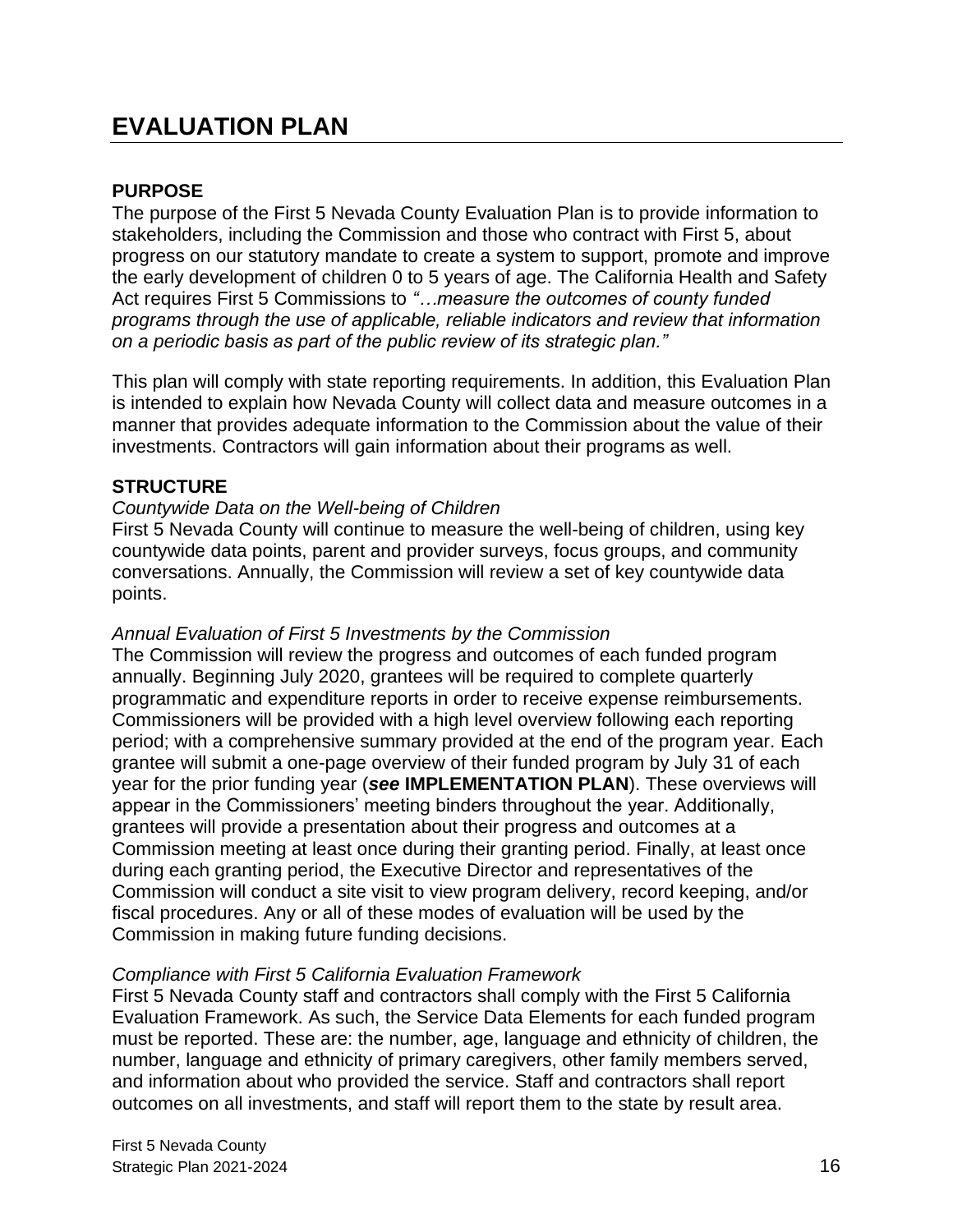# **EVALUATION PLAN**

### **PURPOSE**

The purpose of the First 5 Nevada County Evaluation Plan is to provide information to stakeholders, including the Commission and those who contract with First 5, about progress on our statutory mandate to create a system to support, promote and improve the early development of children 0 to 5 years of age. The California Health and Safety Act requires First 5 Commissions to *"…measure the outcomes of county funded programs through the use of applicable, reliable indicators and review that information on a periodic basis as part of the public review of its strategic plan."*

This plan will comply with state reporting requirements. In addition, this Evaluation Plan is intended to explain how Nevada County will collect data and measure outcomes in a manner that provides adequate information to the Commission about the value of their investments. Contractors will gain information about their programs as well.

### **STRUCTURE**

### *Countywide Data on the Well-being of Children*

First 5 Nevada County will continue to measure the well-being of children, using key countywide data points, parent and provider surveys, focus groups, and community conversations. Annually, the Commission will review a set of key countywide data points.

### *Annual Evaluation of First 5 Investments by the Commission*

The Commission will review the progress and outcomes of each funded program annually. Beginning July 2020, grantees will be required to complete quarterly programmatic and expenditure reports in order to receive expense reimbursements. Commissioners will be provided with a high level overview following each reporting period; with a comprehensive summary provided at the end of the program year. Each grantee will submit a one-page overview of their funded program by July 31 of each year for the prior funding year (*see* **IMPLEMENTATION PLAN**). These overviews will appear in the Commissioners' meeting binders throughout the year. Additionally, grantees will provide a presentation about their progress and outcomes at a Commission meeting at least once during their granting period. Finally, at least once during each granting period, the Executive Director and representatives of the Commission will conduct a site visit to view program delivery, record keeping, and/or fiscal procedures. Any or all of these modes of evaluation will be used by the Commission in making future funding decisions.

### *Compliance with First 5 California Evaluation Framework*

First 5 Nevada County staff and contractors shall comply with the First 5 California Evaluation Framework. As such, the Service Data Elements for each funded program must be reported. These are: the number, age, language and ethnicity of children, the number, language and ethnicity of primary caregivers, other family members served, and information about who provided the service. Staff and contractors shall report outcomes on all investments, and staff will report them to the state by result area.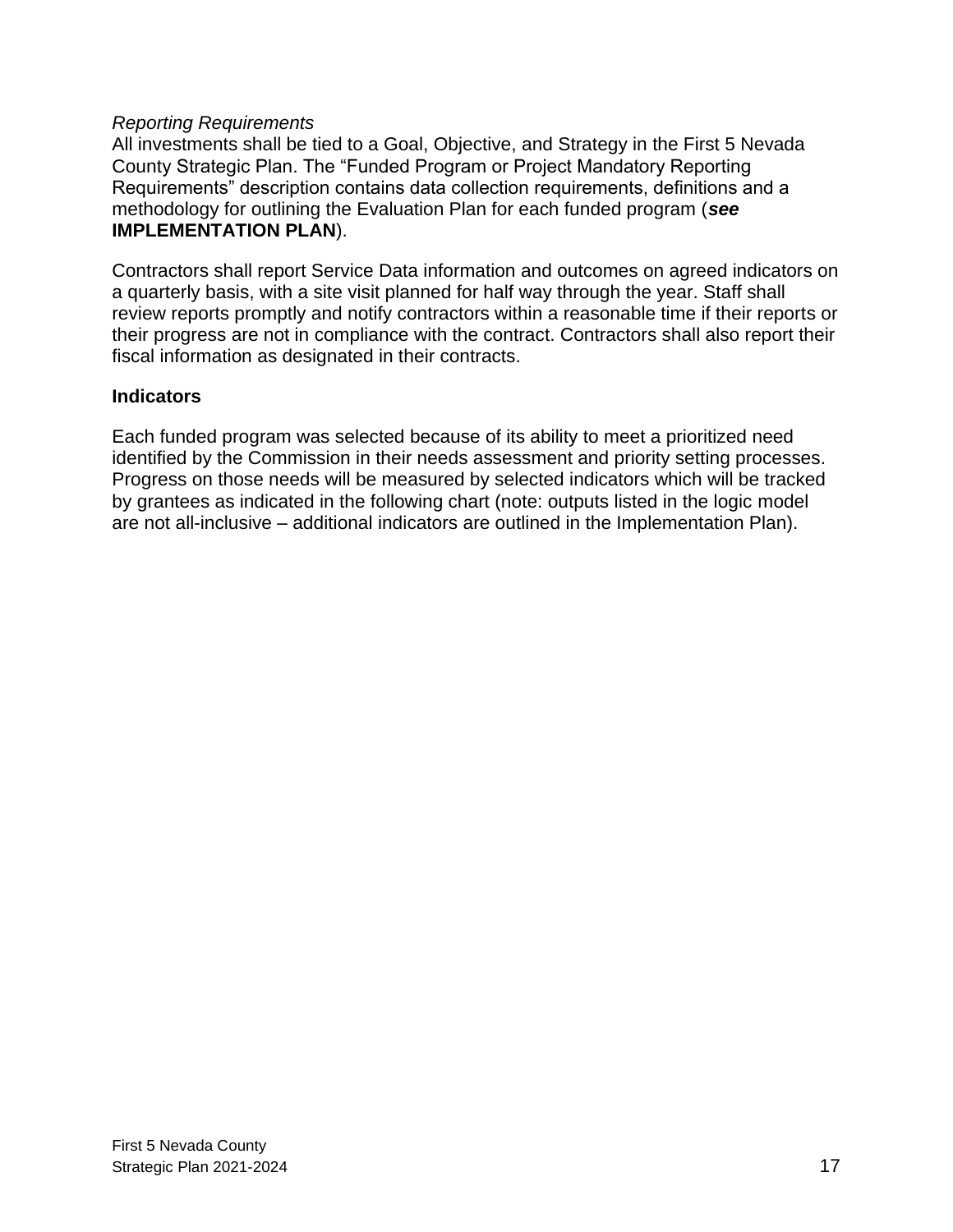### *Reporting Requirements*

All investments shall be tied to a Goal, Objective, and Strategy in the First 5 Nevada County Strategic Plan. The "Funded Program or Project Mandatory Reporting Requirements" description contains data collection requirements, definitions and a methodology for outlining the Evaluation Plan for each funded program (*see* **IMPLEMENTATION PLAN**).

Contractors shall report Service Data information and outcomes on agreed indicators on a quarterly basis, with a site visit planned for half way through the year. Staff shall review reports promptly and notify contractors within a reasonable time if their reports or their progress are not in compliance with the contract. Contractors shall also report their fiscal information as designated in their contracts.

### **Indicators**

Each funded program was selected because of its ability to meet a prioritized need identified by the Commission in their needs assessment and priority setting processes. Progress on those needs will be measured by selected indicators which will be tracked by grantees as indicated in the following chart (note: outputs listed in the logic model are not all-inclusive – additional indicators are outlined in the Implementation Plan).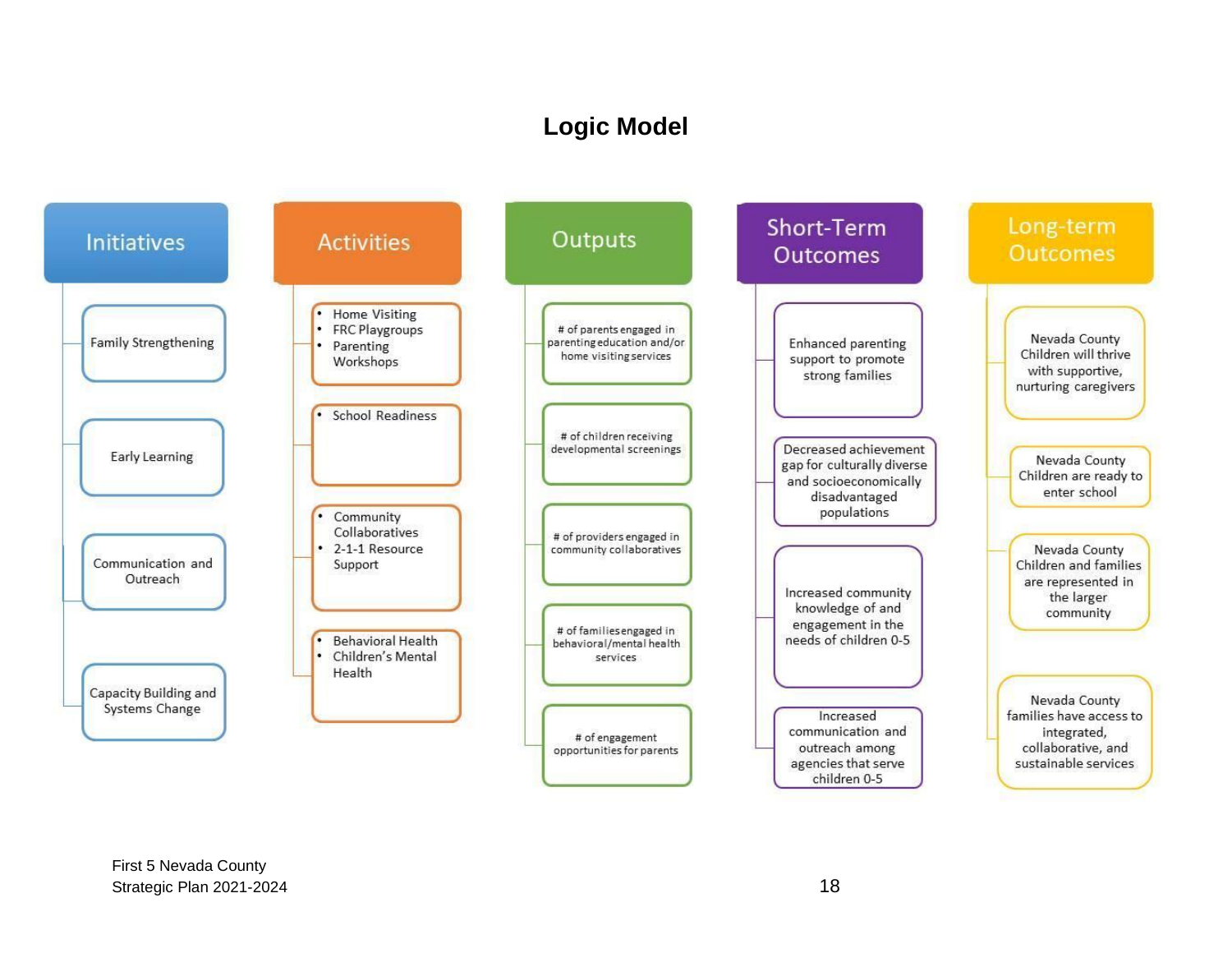# **Logic Model**